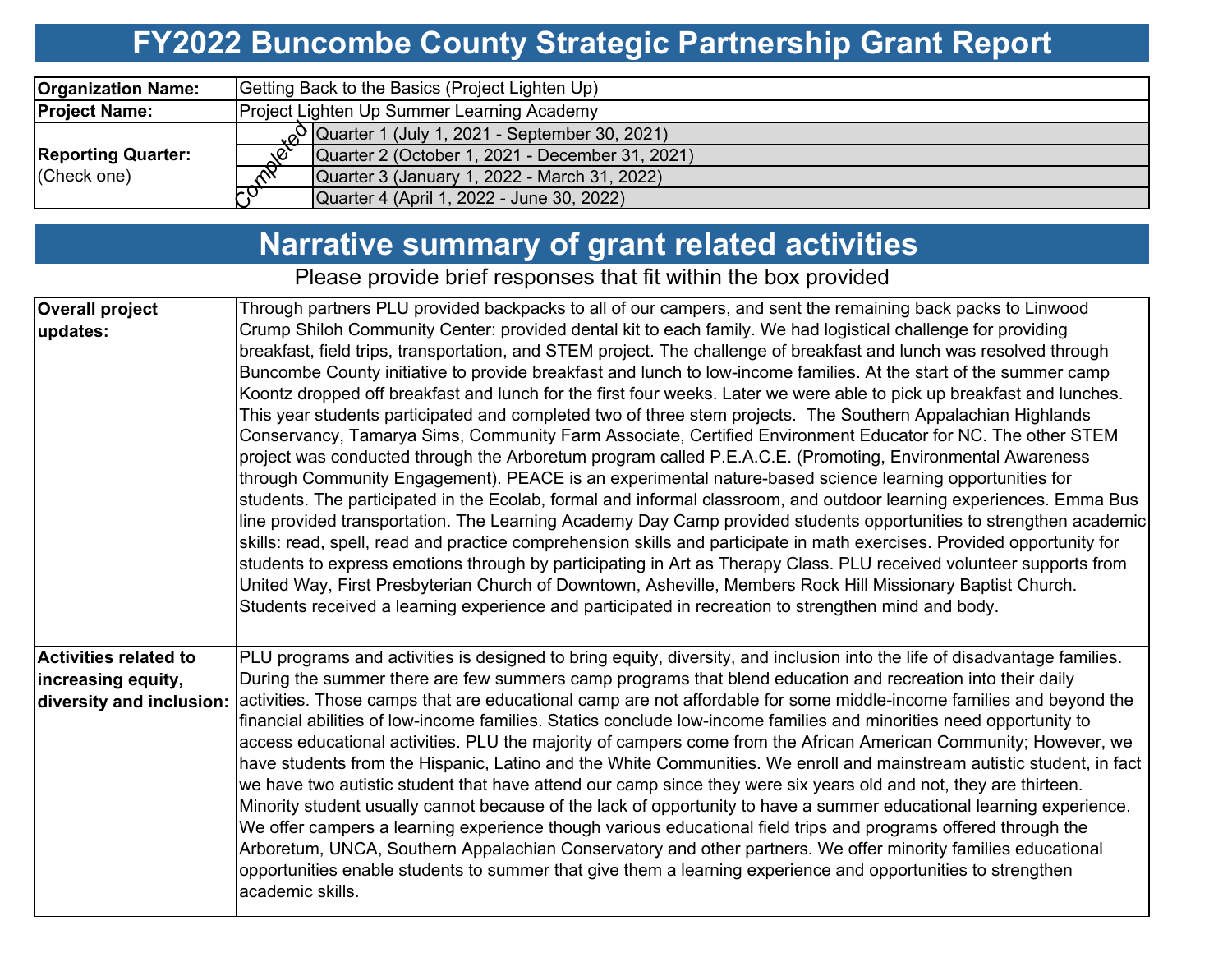## **FY2022 Buncombe County Strategic Partnership Grant Report**

| <b>Organization Name:</b> | Getting Back to the Basics (Project Lighten Up)                         |  |  |  |  |  |
|---------------------------|-------------------------------------------------------------------------|--|--|--|--|--|
| <b>Project Name:</b>      | Project Lighten Up Summer Learning Academy                              |  |  |  |  |  |
|                           | $\alpha$ Quarter 1 (July 1, 2021 - September 30, 2021)                  |  |  |  |  |  |
| <b>Reporting Quarter:</b> | Quarter 2 (October 1, 2021 - December 31, 2021)<br>$\sqrt{\mathcal{C}}$ |  |  |  |  |  |
| (Check one)               | Quarter 3 (January 1, 2022 - March 31, 2022)<br>$\sim$                  |  |  |  |  |  |
|                           | <u>لئا</u><br>Quarter 4 (April 1, 2022 - June 30, 2022)                 |  |  |  |  |  |

## **Narrative summary of grant related activities**

Please provide brief responses that fit within the box provided

| <b>Overall project</b>       | Through partners PLU provided backpacks to all of our campers, and sent the remaining back packs to Linwood               |  |  |  |  |  |  |  |  |
|------------------------------|---------------------------------------------------------------------------------------------------------------------------|--|--|--|--|--|--|--|--|
| updates:                     | Crump Shiloh Community Center: provided dental kit to each family. We had logistical challenge for providing              |  |  |  |  |  |  |  |  |
|                              | breakfast, field trips, transportation, and STEM project. The challenge of breakfast and lunch was resolved through       |  |  |  |  |  |  |  |  |
|                              | Buncombe County initiative to provide breakfast and lunch to low-income families. At the start of the summer camp         |  |  |  |  |  |  |  |  |
|                              | Koontz dropped off breakfast and lunch for the first four weeks. Later we were able to pick up breakfast and lunches.     |  |  |  |  |  |  |  |  |
|                              | This year students participated and completed two of three stem projects. The Southern Appalachian Highlands              |  |  |  |  |  |  |  |  |
|                              | Conservancy, Tamarya Sims, Community Farm Associate, Certified Environment Educator for NC. The other STEM                |  |  |  |  |  |  |  |  |
|                              | project was conducted through the Arboretum program called P.E.A.C.E. (Promoting, Environmental Awareness                 |  |  |  |  |  |  |  |  |
|                              | through Community Engagement). PEACE is an experimental nature-based science learning opportunities for                   |  |  |  |  |  |  |  |  |
|                              | students. The participated in the Ecolab, formal and informal classroom, and outdoor learning experiences. Emma Bus       |  |  |  |  |  |  |  |  |
|                              | line provided transportation. The Learning Academy Day Camp provided students opportunities to strengthen academic        |  |  |  |  |  |  |  |  |
|                              | skills: read, spell, read and practice comprehension skills and participate in math exercises. Provided opportunity for   |  |  |  |  |  |  |  |  |
|                              | students to express emotions through by participating in Art as Therapy Class. PLU received volunteer supports from       |  |  |  |  |  |  |  |  |
|                              | United Way, First Presbyterian Church of Downtown, Asheville, Members Rock Hill Missionary Baptist Church.                |  |  |  |  |  |  |  |  |
|                              | Students received a learning experience and participated in recreation to strengthen mind and body.                       |  |  |  |  |  |  |  |  |
|                              |                                                                                                                           |  |  |  |  |  |  |  |  |
| <b>Activities related to</b> | PLU programs and activities is designed to bring equity, diversity, and inclusion into the life of disadvantage families. |  |  |  |  |  |  |  |  |
| increasing equity,           | During the summer there are few summers camp programs that blend education and recreation into their daily                |  |  |  |  |  |  |  |  |
| diversity and inclusion:     | activities. Those camps that are educational camp are not affordable for some middle-income families and beyond the       |  |  |  |  |  |  |  |  |
|                              | financial abilities of low-income families. Statics conclude low-income families and minorities need opportunity to       |  |  |  |  |  |  |  |  |
|                              | access educational activities. PLU the majority of campers come from the African American Community; However, we          |  |  |  |  |  |  |  |  |
|                              | have students from the Hispanic, Latino and the White Communities. We enroll and mainstream autistic student, in fact     |  |  |  |  |  |  |  |  |
|                              | we have two autistic student that have attend our camp since they were six years old and not, they are thirteen.          |  |  |  |  |  |  |  |  |
|                              | Minority student usually cannot because of the lack of opportunity to have a summer educational learning experience.      |  |  |  |  |  |  |  |  |
|                              | We offer campers a learning experience though various educational field trips and programs offered through the            |  |  |  |  |  |  |  |  |
|                              | Arboretum, UNCA, Southern Appalachian Conservatory and other partners. We offer minority families educational             |  |  |  |  |  |  |  |  |
|                              | opportunities enable students to summer that give them a learning experience and opportunities to strengthen              |  |  |  |  |  |  |  |  |
|                              | academic skills.                                                                                                          |  |  |  |  |  |  |  |  |
|                              |                                                                                                                           |  |  |  |  |  |  |  |  |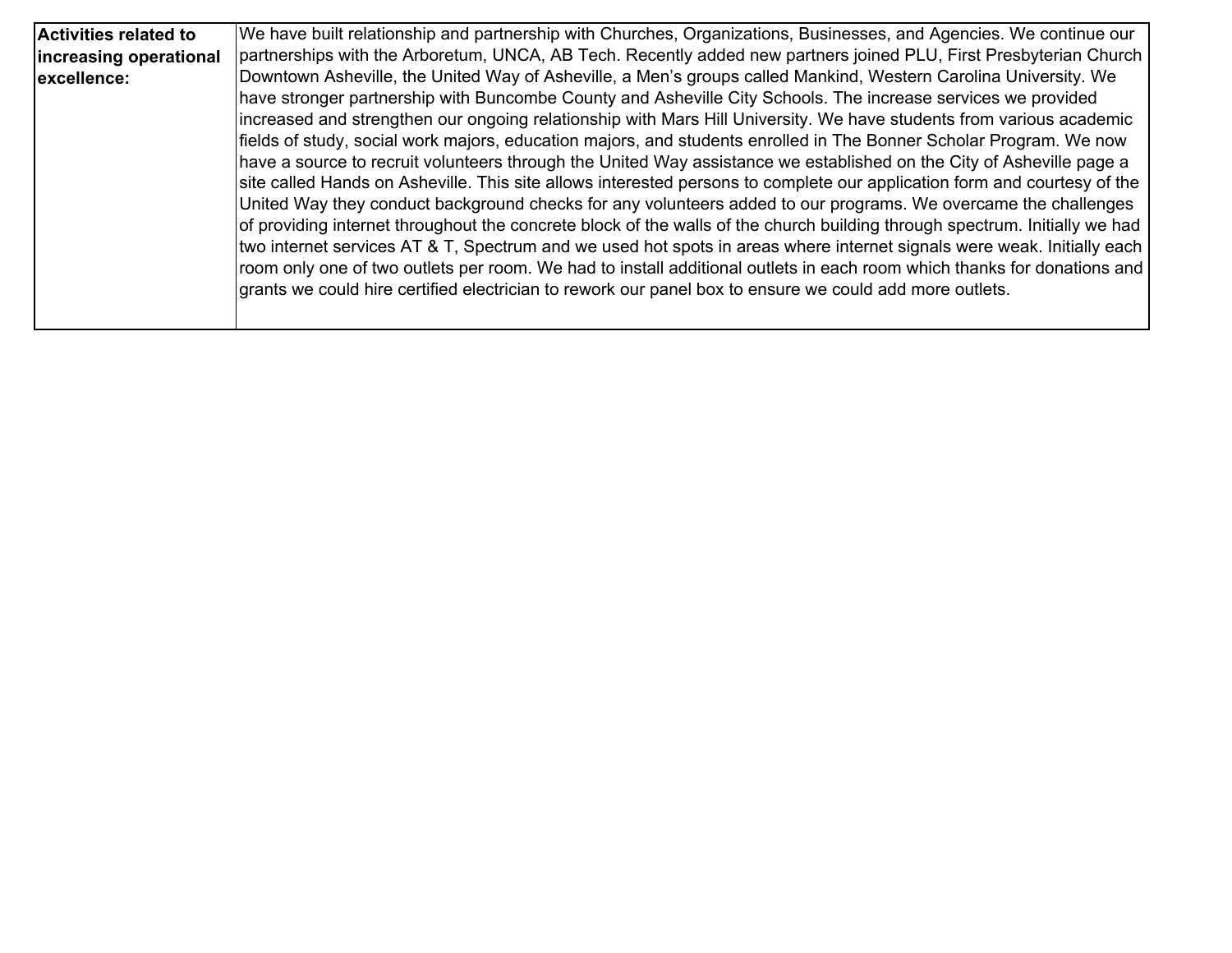| <b>Activities related to</b> | We have built relationship and partnership with Churches, Organizations, Businesses, and Agencies. We continue our              |
|------------------------------|---------------------------------------------------------------------------------------------------------------------------------|
|                              |                                                                                                                                 |
| increasing operational       | partnerships with the Arboretum, UNCA, AB Tech. Recently added new partners joined PLU, First Presbyterian Church               |
| excellence:                  | Downtown Asheville, the United Way of Asheville, a Men's groups called Mankind, Western Carolina University. We                 |
|                              | have stronger partnership with Buncombe County and Asheville City Schools. The increase services we provided                    |
|                              | increased and strengthen our ongoing relationship with Mars Hill University. We have students from various academic             |
|                              | fields of study, social work majors, education majors, and students enrolled in The Bonner Scholar Program. We now              |
|                              | have a source to recruit volunteers through the United Way assistance we established on the City of Asheville page a            |
|                              | site called Hands on Asheville. This site allows interested persons to complete our application form and courtesy of the        |
|                              | United Way they conduct background checks for any volunteers added to our programs. We overcame the challenges                  |
|                              | of providing internet throughout the concrete block of the walls of the church building through spectrum. Initially we had      |
|                              | two internet services AT & T, Spectrum and we used hot spots in areas where internet signals were weak. Initially each          |
|                              | $ $ room only one of two outlets per room. We had to install additional outlets in each room which thanks for donations and $ $ |
|                              | grants we could hire certified electrician to rework our panel box to ensure we could add more outlets.                         |
|                              |                                                                                                                                 |
|                              |                                                                                                                                 |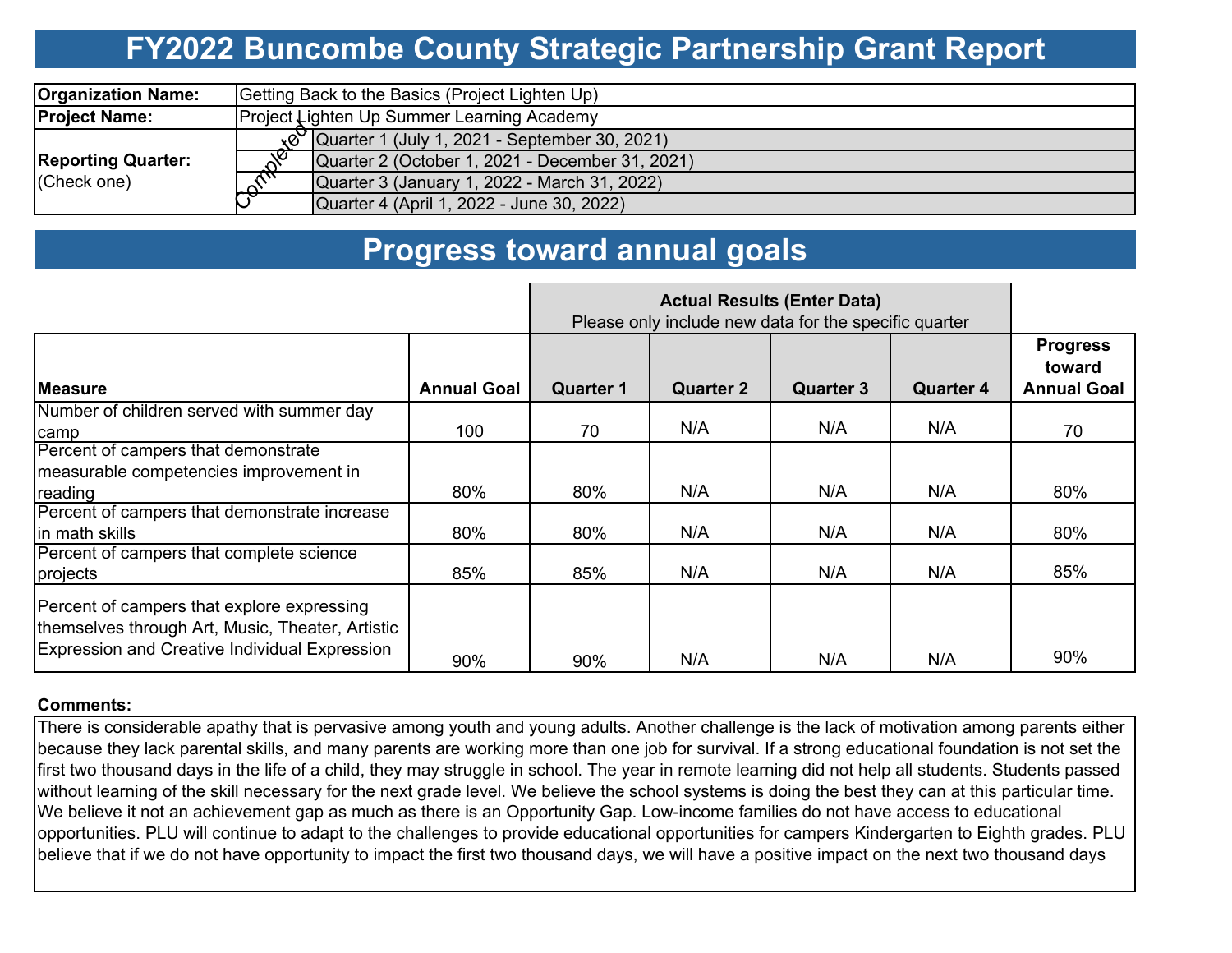## **FY2022 Buncombe County Strategic Partnership Grant Report**

| <b>Organization Name:</b>                | Getting Back to the Basics (Project Lighten Up)          |  |  |  |  |  |
|------------------------------------------|----------------------------------------------------------|--|--|--|--|--|
| <b>Project Name:</b>                     | <b>Project Lighten Up Summer Learning Academy</b>        |  |  |  |  |  |
| <b>Reporting Quarter:</b><br>(Check one) | $\sqrt{8}$ Quarter 1 (July 1, 2021 - September 30, 2021) |  |  |  |  |  |
|                                          | Quarter 2 (October 1, 2021 - December 31, 2021)          |  |  |  |  |  |
|                                          | Quarter 3 (January 1, 2022 - March 31, 2022)             |  |  |  |  |  |
|                                          | Quarter 4 (April 1, 2022 - June 30, 2022)                |  |  |  |  |  |

### **Progress toward annual goals**

|                                                                                                                                                 |                    | Please only include new data for the specific quarter |                  |                  |                  |                                                 |
|-------------------------------------------------------------------------------------------------------------------------------------------------|--------------------|-------------------------------------------------------|------------------|------------------|------------------|-------------------------------------------------|
| <b>Measure</b>                                                                                                                                  | <b>Annual Goal</b> | <b>Quarter 1</b>                                      | <b>Quarter 2</b> | <b>Quarter 3</b> | <b>Quarter 4</b> | <b>Progress</b><br>toward<br><b>Annual Goal</b> |
| Number of children served with summer day                                                                                                       |                    |                                                       |                  |                  |                  |                                                 |
| <b>camp</b>                                                                                                                                     | 100                | 70                                                    | N/A              | N/A              | N/A              | 70                                              |
| Percent of campers that demonstrate                                                                                                             |                    |                                                       |                  |                  |                  |                                                 |
| measurable competencies improvement in                                                                                                          |                    |                                                       |                  |                  |                  |                                                 |
| reading                                                                                                                                         | 80%                | 80%                                                   | N/A              | N/A              | N/A              | 80%                                             |
| Percent of campers that demonstrate increase                                                                                                    |                    |                                                       |                  |                  |                  |                                                 |
| lin math skills                                                                                                                                 | 80%                | 80%                                                   | N/A              | N/A              | N/A              | 80%                                             |
| Percent of campers that complete science                                                                                                        |                    |                                                       |                  |                  |                  |                                                 |
| projects                                                                                                                                        | 85%                | 85%                                                   | N/A              | N/A              | N/A              | 85%                                             |
| Percent of campers that explore expressing<br>themselves through Art, Music, Theater, Artistic<br>Expression and Creative Individual Expression | 90%                | 90%                                                   | N/A              | N/A              | N/A              | 90%                                             |

#### **Comments:**

There is considerable apathy that is pervasive among youth and young adults. Another challenge is the lack of motivation among parents either because they lack parental skills, and many parents are working more than one job for survival. If a strong educational foundation is not set the first two thousand days in the life of a child, they may struggle in school. The year in remote learning did not help all students. Students passed without learning of the skill necessary for the next grade level. We believe the school systems is doing the best they can at this particular time. We believe it not an achievement gap as much as there is an Opportunity Gap. Low-income families do not have access to educational opportunities. PLU will continue to adapt to the challenges to provide educational opportunities for campers Kindergarten to Eighth grades. PLU believe that if we do not have opportunity to impact the first two thousand days, we will have a positive impact on the next two thousand days